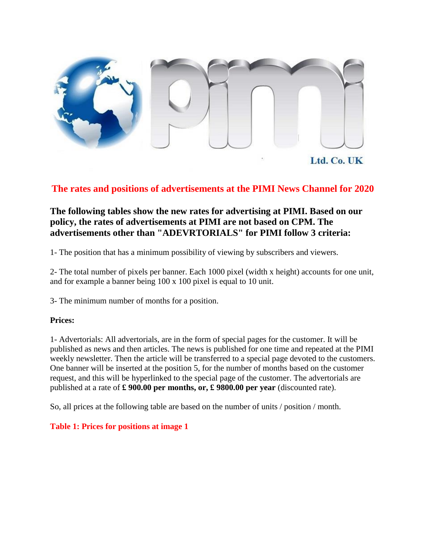

Ltd. Co. UK

#### **The rates and positions of advertisements at the PIMI News Channel for 2020**

#### **The following tables show the new rates for advertising at PIMI. Based on our policy, the rates of advertisements at PIMI are not based on CPM. The advertisements other than "ADEVRTORIALS" for PIMI follow 3 criteria:**

1- The position that has a minimum possibility of viewing by subscribers and viewers.

2- The total number of pixels per banner. Each 1000 pixel (width x height) accounts for one unit, and for example a banner being 100 x 100 pixel is equal to 10 unit.

3- The minimum number of months for a position.

#### **Prices:**

1- Advertorials: All advertorials, are in the form of special pages for the customer. It will be published as news and then articles. The news is published for one time and repeated at the PIMI weekly newsletter. Then the article will be transferred to a special page devoted to the customers. One banner will be inserted at the position 5, for the number of months based on the customer request, and this will be hyperlinked to the special page of the customer. The advertorials are published at a rate of **£ 900.00 per months, or, £ 9800.00 per year** (discounted rate).

So, all prices at the following table are based on the number of units / position / month.

#### **Table 1: Prices for positions at image 1**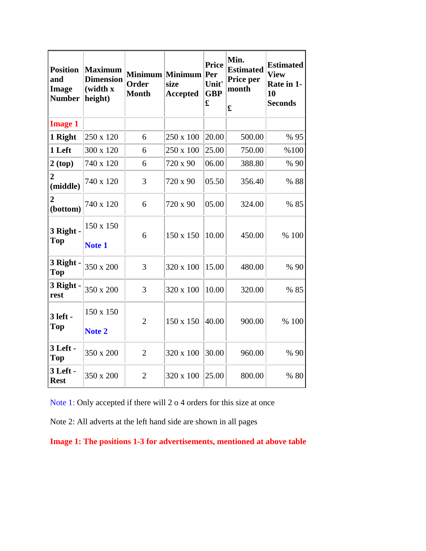| <b>Position</b><br>and<br><b>Image</b><br><b>Number</b> | <b>Maximum</b><br><b>Dimension</b><br>(width x<br>height) | Order<br><b>Month</b> | Minimum Minimum<br>size<br><b>Accepted</b> | <b>Price</b><br>Per<br>Unit'<br><b>GBP</b><br>£ | Min.<br><b>Estimated</b><br>Price per<br>month<br>£ | <b>Estimated</b><br><b>View</b><br>Rate in 1-<br>10<br><b>Seconds</b> |
|---------------------------------------------------------|-----------------------------------------------------------|-----------------------|--------------------------------------------|-------------------------------------------------|-----------------------------------------------------|-----------------------------------------------------------------------|
| <b>Image 1</b>                                          |                                                           |                       |                                            |                                                 |                                                     |                                                                       |
| 1 Right                                                 | 250 x 120                                                 | 6                     | 250 x 100                                  | 20.00                                           | 500.00                                              | % 95                                                                  |
| 1 Left                                                  | 300 x 120                                                 | 6                     | 250 x 100                                  | 25.00                                           | 750.00                                              | %100                                                                  |
| 2(top)                                                  | 740 x 120                                                 | 6                     | 720 x 90                                   | 06.00                                           | 388.80                                              | % 90                                                                  |
| 2<br>(middle)                                           | 740 x 120                                                 | 3                     | 720 x 90                                   | 05.50                                           | 356.40                                              | % 88                                                                  |
| (bottom)                                                | 740 x 120                                                 | 6                     | 720 x 90                                   | 05.00                                           | 324.00                                              | % 85                                                                  |
| 3 Right -<br>Top                                        | 150 x 150<br>Note 1                                       | 6                     | 150 x 150                                  | 10.00                                           | 450.00                                              | % 100                                                                 |
| 3 Right -<br><b>Top</b>                                 | 350 x 200                                                 | 3                     | 320 x 100                                  | 15.00                                           | 480.00                                              | % 90                                                                  |
| 3 Right -<br>rest                                       | 350 x 200                                                 | 3                     | 320 x 100                                  | 10.00                                           | 320.00                                              | % 85                                                                  |
| 3 left -<br>Top                                         | 150 x 150<br>Note 2                                       | $\overline{2}$        | 150 x 150                                  | 40.00                                           | 900.00                                              | % 100                                                                 |
| 3 Left -<br><b>Top</b>                                  | 350 x 200                                                 | $\overline{2}$        | 320 x 100                                  | 30.00                                           | 960.00                                              | % 90                                                                  |
| 3 Left -<br><b>Rest</b>                                 | 350 x 200                                                 | $\overline{2}$        | 320 x 100                                  | 25.00                                           | 800.00                                              | % 80                                                                  |

Note 1: Only accepted if there will 2 o 4 orders for this size at once

Note 2: All adverts at the left hand side are shown in all pages

**Image 1: The positions 1-3 for advertisements, mentioned at above table**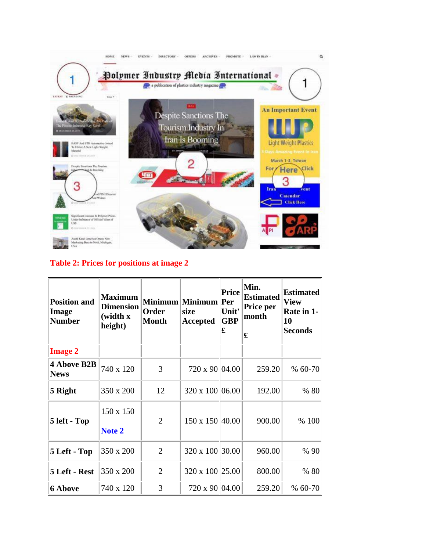

#### **Table 2: Prices for positions at image 2**

| <b>Position and</b><br>Image<br><b>Number</b> | <b>Maximum</b><br><b>Dimension</b><br>(width x)<br>height) | Order<br><b>Month</b> | Minimum Minimum Per<br>size<br><b>Accepted</b> | <b>Price</b><br>Unit'<br><b>GBP</b><br>£ | Min.<br><b>Estimated</b><br>Price per<br>month<br>£ | <b>Estimated</b><br><b>View</b><br>Rate in 1-<br>10<br><b>Seconds</b> |
|-----------------------------------------------|------------------------------------------------------------|-----------------------|------------------------------------------------|------------------------------------------|-----------------------------------------------------|-----------------------------------------------------------------------|
| <b>Image 2</b>                                |                                                            |                       |                                                |                                          |                                                     |                                                                       |
| 4 Above B2B<br><b>News</b>                    | 740 x 120                                                  | 3                     | 720 x 90 04.00                                 |                                          | 259.20                                              | % 60-70                                                               |
| 5 Right                                       | 350 x 200                                                  | 12                    | $320 \times 100$ 06.00                         |                                          | 192.00                                              | % 80                                                                  |
| 5 left - Top                                  | 150 x 150<br>Note 2                                        | 2                     | $150 \times 150$ 40.00                         |                                          | 900.00                                              | % 100                                                                 |
| 5 Left - Top                                  | 350 x 200                                                  | $\overline{2}$        | 320 x 100 30.00                                |                                          | 960.00                                              | % 90                                                                  |
| 5 Left - Rest                                 | 350 x 200                                                  | $\overline{2}$        | 320 x 100 25.00                                |                                          | 800.00                                              | % 80                                                                  |
| <b>6 Above</b>                                | 740 x 120                                                  | 3                     | 720 x 90 04.00                                 |                                          | 259.20                                              | $% 60-70$                                                             |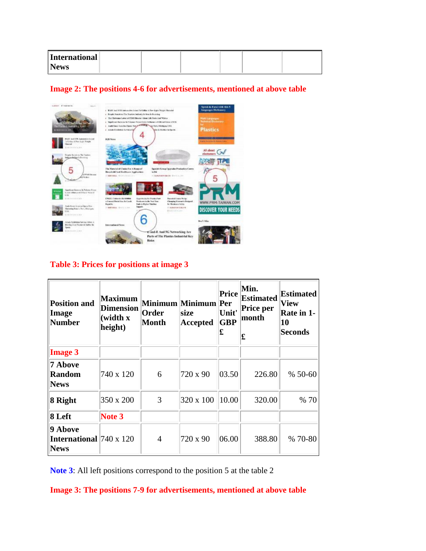| International |  |  |  |
|---------------|--|--|--|
| <b>News</b>   |  |  |  |



#### **Image 2: The positions 4-6 for advertisements, mentioned at above table**

## **Table 3: Prices for positions at image 3**

| <b>Position and</b><br>Image<br><b>Number</b>                   | <b>Maximum</b><br><b>Dimension</b><br>(width x<br>height) | Order<br>Month | Minimum Minimum Per<br>size<br><b>Accepted</b> | Price<br>Unit'<br><b>GBP</b><br>£ | Min.<br><b>Estimated</b><br>Price per<br>month<br>£ | <b>Estimated</b><br>View<br>Rate in 1-<br>10<br><b>Seconds</b> |
|-----------------------------------------------------------------|-----------------------------------------------------------|----------------|------------------------------------------------|-----------------------------------|-----------------------------------------------------|----------------------------------------------------------------|
| <b>Image 3</b>                                                  |                                                           |                |                                                |                                   |                                                     |                                                                |
| 7 Above<br><b>Random</b><br><b>News</b>                         | 740 x 120                                                 | 6              | 720 x 90                                       | 03.50                             | 226.80                                              | % 50-60                                                        |
| 8 Right                                                         | 350 x 200                                                 | 3              | 320 x 100                                      | 10.00                             | 320.00                                              | % 70                                                           |
| 8 Left                                                          | Note 3                                                    |                |                                                |                                   |                                                     |                                                                |
| 9 Above<br><b>International</b> $740 \times 120$<br><b>News</b> |                                                           | 4              | 720 x 90                                       | 06.00                             | 388.80                                              | % 70-80                                                        |

**Note 3**: All left positions correspond to the position 5 at the table 2

**Image 3: The positions 7-9 for advertisements, mentioned at above table**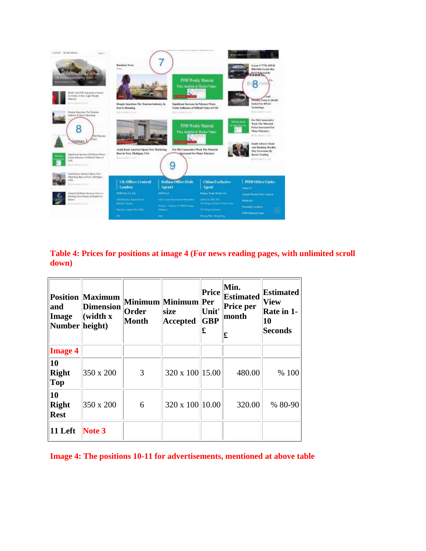

**Table 4: Prices for positions at image 4 (For news reading pages, with unlimited scroll down)**

| and<br>  Image<br>Number height) | <b>Position Maximum</b><br><b>Dimension</b><br>(width x | Order<br><b>Month</b> | Minimum Minimum Per<br>size<br><b>Accepted</b> | <b>Price</b><br>Unit'<br><b>GBP</b><br>£ | Min.<br><b>Estimated</b><br>Price per<br>month<br>£ | <b>Estimated</b><br><b>View</b><br>Rate in 1-<br>10<br><b>Seconds</b> |
|----------------------------------|---------------------------------------------------------|-----------------------|------------------------------------------------|------------------------------------------|-----------------------------------------------------|-----------------------------------------------------------------------|
| <b>Image 4</b>                   |                                                         |                       |                                                |                                          |                                                     |                                                                       |
| 10<br>Right<br>$\ Top$           | 350 x 200                                               | 3                     | 320 x 100 15.00                                |                                          | 480.00                                              | % 100                                                                 |
| 10<br>Right<br>Rest              | 350 x 200                                               | 6                     | 320 x 100 10.00                                |                                          | 320.00                                              | % 80-90                                                               |
| $\ 11$ Left                      | Note 3                                                  |                       |                                                |                                          |                                                     |                                                                       |

**Image 4: The positions 10-11 for advertisements, mentioned at above table**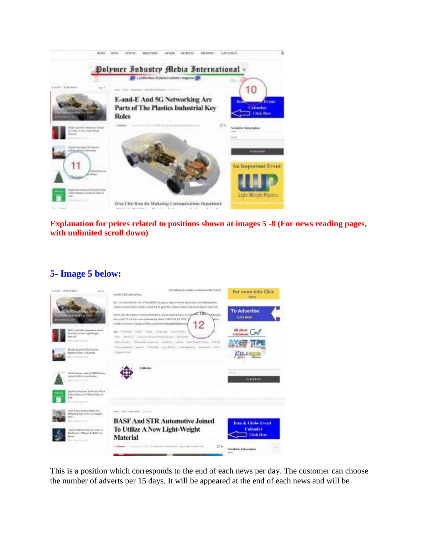

**Explanation for prices related to positions shown at images 5 -8 (For news reading pages, with unlimited scroll down)**

#### **5- Image 5 below:**



This is a position which corresponds to the end of each news per day. The customer can choose the number of adverts per 15 days. It will be appeared at the end of each news and will be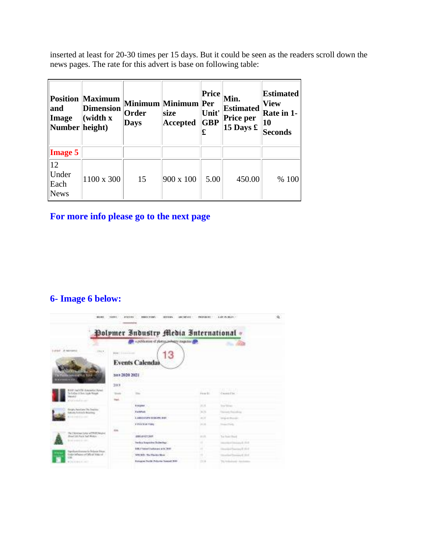inserted at least for 20-30 times per 15 days. But it could be seen as the readers scroll down the news pages. The rate for this advert is base on following table:

| and<br>Image<br>Number height)        | <b>Position Maximum</b><br><b>Dimension</b><br>(width x) | Order<br>Days | Minimum Minimum Per<br>size<br><b>Accepted</b> | <b>Price</b><br>Unit'<br><b>GBP</b><br>£ | Min.<br><b>Estimated</b><br>Price per<br>15 Days $\pounds$ | <b>Estimated</b><br><b>View</b><br>Rate in 1-<br> 10<br>Seconds |
|---------------------------------------|----------------------------------------------------------|---------------|------------------------------------------------|------------------------------------------|------------------------------------------------------------|-----------------------------------------------------------------|
| <b>Image 5</b>                        |                                                          |               |                                                |                                          |                                                            |                                                                 |
| $ 12\rangle$<br>Under<br>Each<br>News | 1100 x 300                                               | 15            | $900 \times 100$                               | 5.00                                     | 450.00                                                     | % 100                                                           |

## **For more info please go to the next page**

## **6- Image 6 below:**

| 80.001                                                                                                    | 性皮質を                                   | <b><i>STATUTE</i></b><br><b><i>DESCRIPTION</i></b><br><b>BITERY</b>                                        | <b>PESSAGES</b>   | Late in many            | ú. |
|-----------------------------------------------------------------------------------------------------------|----------------------------------------|------------------------------------------------------------------------------------------------------------|-------------------|-------------------------|----|
| Lureur A restamic<br>First #                                                                              | <b>ROW   EXISTENCIA</b>                | Polymer Industry Media International<br>a pollution of plans pollutry man for all<br>13<br>Events Calendai |                   | <b>Charles</b>          |    |
| <b>Internal Red Royal</b><br>馬爾斯<br>RAW AND EXTR domination Agent<br>To Kielling J. Tores Liquite Manuels | see = 2020 2021<br>300<br><b>World</b> |                                                                                                            | Firm \$1          | Causes (Clyr)           |    |
| <b>Acceler</b><br><b>CONTRACTOR</b>                                                                       | <b>Tark</b>                            | <b>Branquish</b>                                                                                           | 詳計                | <b>Day Toler</b>        |    |
| Engine Section 1 to Septem<br><b>Extractly Technically Majoritan</b><br><b>LIST LANGER</b>                |                                        | Electricial<br>LABILIAN'S EVISITY RET                                                                      | $3 - 25$<br>$-11$ | <b>THE R. P. LEWIS.</b> |    |
| By Ukhting Lyte w DRS Projet                                                                              | h.c<br>KKa.                            | <b>EVENTS THE</b><br><b>North Sections</b>                                                                 | 14.14.            | Trained Trially         |    |
| Bowl 100 Pack had Bokin -<br><b>CONTRACTOR</b>                                                            |                                        | <b>ARKHAVET SHIP</b><br><b>Technologicies Telecture</b>                                                    |                   | <b>Tue Forest</b>       |    |
| tigelizeritorum to Inturn Naze<br>Englete handle and the project<br>LM.                                   |                                        | <b>Edit &amp; Today Chalkman at b. 240</b><br>SAURA To How Box                                             |                   | $-111$<br>world 1944    |    |
| With Grand K. and                                                                                         |                                        | Elektrick Trailler Polluties Trained? Will                                                                 | 73.14             | Total Analysis<br>---   |    |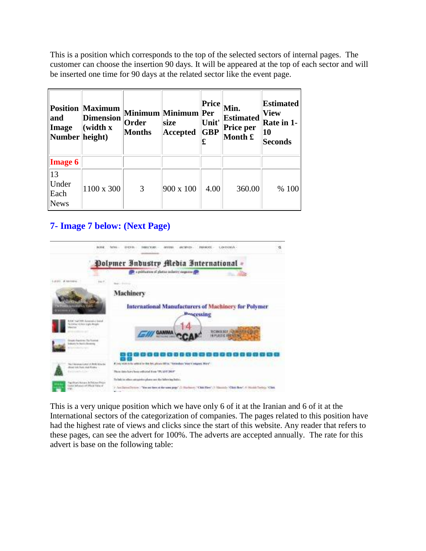This is a position which corresponds to the top of the selected sectors of internal pages. The customer can choose the insertion 90 days. It will be appeared at the top of each sector and will be inserted one time for 90 days at the related sector like the event page.

| and<br>Image<br>Number height) | <b>Position Maximum</b><br><b>Dimension</b><br>(width x | Order<br><b>Months</b> | Minimum Minimum Per<br>size<br><b>Accepted</b> | Price<br>Unit'<br><b>GBP</b><br>£ | Min.<br><b>Estimated</b><br><b>Price per</b><br>Month £ | <b>Estimated</b><br><b>View</b><br>Rate in 1-<br>10<br><b>Seconds</b> |
|--------------------------------|---------------------------------------------------------|------------------------|------------------------------------------------|-----------------------------------|---------------------------------------------------------|-----------------------------------------------------------------------|
| <b>Image 6</b>                 |                                                         |                        |                                                |                                   |                                                         |                                                                       |
| 13<br>Under<br>Each<br>News    | 1100 x 300                                              | 3                      | 900 x 100                                      | 4.00                              | 360.00                                                  | % 100                                                                 |

## **7- Image 7 below: (Next Page)**

| <b>Baraficial</b>                                                                           | a<br><b>EXENSIV</b><br>L. ZW TESELA                                                                                                                                                                 |
|---------------------------------------------------------------------------------------------|-----------------------------------------------------------------------------------------------------------------------------------------------------------------------------------------------------|
|                                                                                             | Polymer Industry Media International<br><b>SP</b> a publication of platial industry sugarine and                                                                                                    |
| tas P                                                                                       |                                                                                                                                                                                                     |
|                                                                                             | Machinery                                                                                                                                                                                           |
| 18.974                                                                                      | International Manufacturers of Machinery for Polymer<br><b>Bencessing</b>                                                                                                                           |
| RAW Tool FRR Automobile English<br>N. L. Alfan . A. Facia . L. Lylus, Billian               | <b>BORGERET INT</b>                                                                                                                                                                                 |
| <b>Election Austine: The Econol</b><br><b>Integrity for Basic changes</b>                   |                                                                                                                                                                                                     |
|                                                                                             |                                                                                                                                                                                                     |
| his 3 december 4 shot of Archi Arize by<br>thiad hills hain shakeholder -                   | Fine with it is abled to the bit plean fillin. To industry the Congress Boy".                                                                                                                       |
| <b>Freisight Little</b>                                                                     | There does have been reflected from "PLANT 2018"                                                                                                                                                    |
| liquilitari ficitato la Estrano Patron<br>Unite Ministrate (ACRIGAN Takes of<br><b>LANT</b> | Tellink is often satispides phase are the biller ing helici-<br>7. Antillated Decey) "You are here of the uses page" (2) Hardness," Click Here", 3) Maximiz-Nillat Bene", 4-16((Add Turin)), "Click |

This is a very unique position which we have only 6 of it at the Iranian and 6 of it at the International sectors of the categorization of companies. The pages related to this position have had the highest rate of views and clicks since the start of this website. Any reader that refers to these pages, can see the advert for 100%. The adverts are accepted annually. The rate for this advert is base on the following table: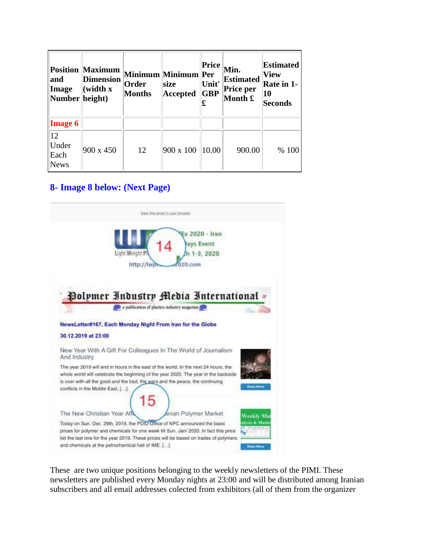| and<br>Image<br>Number height)      | <b>Position Maximum</b><br><b>Dimension</b><br>(width x) | Order<br><b>Months</b> | Minimum Minimum Per<br>size<br><b>Accepted</b> | Price<br>Unit'<br><b>GBP</b><br>£ | Min.<br><b>Estimated</b><br>Price per<br>Month £ | <b>Estimated</b><br><b>View</b><br>Rate in 1-<br>10<br>Seconds |
|-------------------------------------|----------------------------------------------------------|------------------------|------------------------------------------------|-----------------------------------|--------------------------------------------------|----------------------------------------------------------------|
| <b>Image 6</b>                      |                                                          |                        |                                                |                                   |                                                  |                                                                |
| 12 <br>Under<br>Each<br><b>News</b> | 900 x 450                                                | 12                     | 900 x 100                                      | 10.00                             | 900.00                                           | % 100                                                          |

#### **8- Image 8 below: (Next Page)**



These are two unique positions belonging to the weekly newsletters of the PIMI. These newsletters are published every Monday nights at 23:00 and will be distributed among Iranian subscribers and all email addresses colected from exhibitors (all of them from the organizer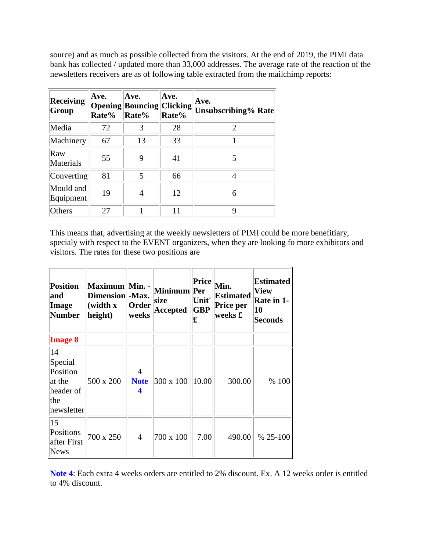source) and as much as possible collected from the visitors. At the end of 2019, the PIMI data bank has collected / updated more than 33,000 addresses. The average rate of the reaction of the newsletters receivers are as of following table extracted from the mailchimp reports:

| <b>Receiving</b><br>Group | Ave.<br>Rate% | Ave.<br><b>Opening Bouncing Clicking</b><br>Rate% | Ave.<br>Rate% | Ave.<br><b>Unsubscribing% Rate</b> |
|---------------------------|---------------|---------------------------------------------------|---------------|------------------------------------|
| Media                     | 72            | 3                                                 | 28            | $\mathcal{D}_{\mathcal{L}}$        |
| Machinery                 | 67            | 13                                                | 33            |                                    |
| Raw<br>Materials          | 55            | 9                                                 | 41            | 5                                  |
| Converting                | 81            | 5                                                 | 66            | 4                                  |
| Mould and<br>Equipment    | 19            | 4                                                 | 12            | 6                                  |
| Others                    | 27            |                                                   | 11            | Q                                  |

This means that, advertising at the weekly newsletters of PIMI could be more benefitiary, specialy with respect to the EVENT organizers, when they are looking fo more exhibitors and visitors. The rates for these two positions are

| <b>Position</b><br>and<br>Image<br><b>Number</b>                      | Maximum Min. -<br>Dimension  -Max.<br>(width x<br>height) | Order<br>weeks                     | Minimum Per<br>size<br><b>Accepted</b> | <b>Price</b><br>Unit'<br><b>GBP</b><br>£ | Min.<br><b>Estimated</b><br>Price per<br>weeks £ | <b>Estimated</b><br>View<br>Rate in 1-<br>10<br><b>Seconds</b> |
|-----------------------------------------------------------------------|-----------------------------------------------------------|------------------------------------|----------------------------------------|------------------------------------------|--------------------------------------------------|----------------------------------------------------------------|
| <b>Image 8</b>                                                        |                                                           |                                    |                                        |                                          |                                                  |                                                                |
| 14<br>Special<br>Position<br>at the<br>header of<br>the<br>newsletter | 500 x 200                                                 | $\overline{4}$<br><b>Note</b><br>4 | $ 300 \times 100$                      | 10.00                                    | 300.00                                           | % 100                                                          |
| 15<br>Positions<br>after First<br>News                                | 700 x 250                                                 | $\overline{4}$                     | 700 x 100                              | 7.00                                     | 490.00                                           | $% 25-100$                                                     |

**Note 4**: Each extra 4 weeks orders are entitled to 2% discount. Ex. A 12 weeks order is entitled to 4% discount.